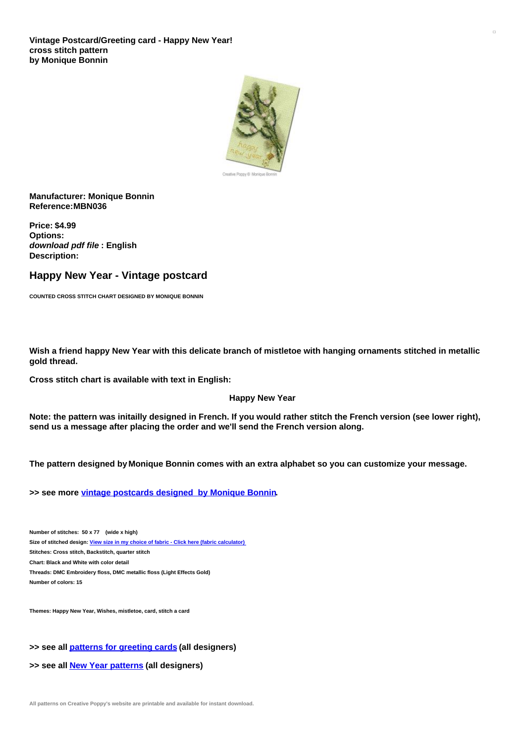

### **Manufacturer: Monique Bonnin Reference:MBN036**

**Price: \$4.99 Options:** *download pdf file* **: English Description:**

# **Happy New Year - Vintage postcard**

**COUNTED CROSS STITCH CHART DESIGNED BY MONIQUE BONNIN**

Wish a friend happy New Year with this delicate branch of mistletoe with hanging ornaments stitched in metallic **gold thread.**

**Cross stitch chart is available with text in English:**

#### **Happy New Year**

Note: the pattern was initailly designed in French. If you would rather stitch the French version (see lower right), **send us a message after placing the order and we'll send the French version along.**

**The pattern designed by Monique Bonnin comes with an extra alphabet so you can customize your message.**

**>> see more vintage [postcards](https://www.creativepoppypatterns.com/monique-bonnin-nostalgia-greeting-cards-xsl-296_330_331.html) designed by Monique Bonnin.**

**Number of stitches: 50 x 77 (wide x high) Size of stitched design: View size in my choice of fabric - Click here (fabric [calculator\)](https://www.creativepoppypatterns.com/calculette-de-toile.php?products_id=973&w=50&h=77) Stitches: Cross stitch, Backstitch, quarter stitch Chart: Black and White with color detail Threads: DMC Embroidery floss, DMC metallic floss (Light Effects Gold) Number of colors: 15**

**Themes: Happy New Year, Wishes, mistletoe, card, stitch a card**

#### **>> see all patterns for [greeting](https://www.creativepoppypatterns.com/christmas-cards-cross-stitch-xsl-214_228_503.html) cards (all designers)**

**>> see all New Year [patterns](https://www.creativepoppypatterns.com/newyear-cross-stitch-xsl-214_228_381.html) (all designers)**